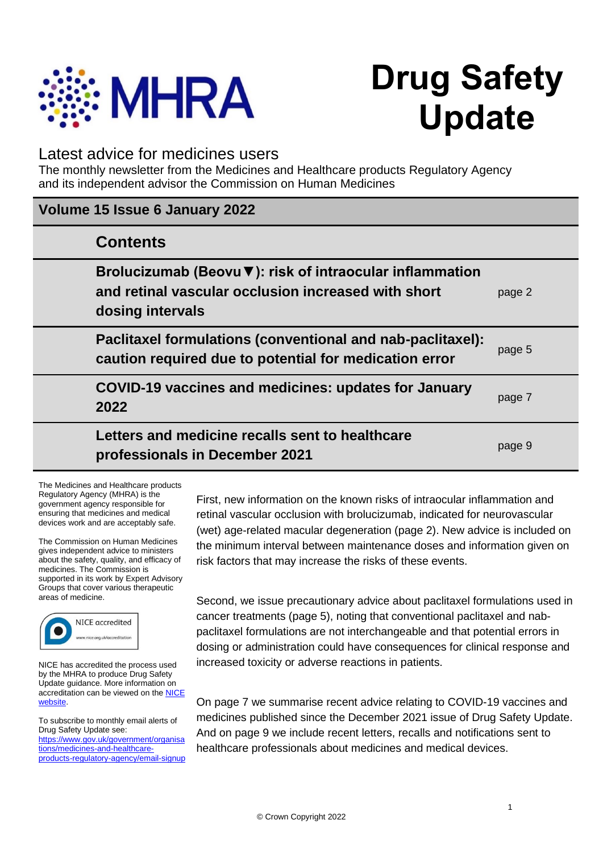

# **Drug Safety Update**

# Latest advice for medicines users

The monthly newsletter from the Medicines and Healthcare products Regulatory Agency and its independent advisor the Commission on Human Medicines

| Volume 15 Issue 6 January 2022                                                                                                      |        |
|-------------------------------------------------------------------------------------------------------------------------------------|--------|
| <b>Contents</b>                                                                                                                     |        |
| Brolucizumab (Beovu ▼): risk of intraocular inflammation<br>and retinal vascular occlusion increased with short<br>dosing intervals | page 2 |
| Paclitaxel formulations (conventional and nab-paclitaxel):<br>caution required due to potential for medication error                | page 5 |
| COVID-19 vaccines and medicines: updates for January<br>2022                                                                        | page 7 |
| Letters and medicine recalls sent to healthcare<br>professionals in December 2021                                                   | page 9 |

The Medicines and Healthcare products Regulatory Agency (MHRA) is the government agency responsible for ensuring that medicines and medical devices work and are acceptably safe.

The Commission on Human Medicines gives independent advice to ministers about the safety, quality, and efficacy of medicines. The Commission is supported in its work by Expert Advisory Groups that cover various therapeutic areas of medicine.



NICE has accredited the process used by the MHRA to produce Drug Safety Update guidance. More information on accreditation can be viewed on the [NICE](http://www.nice.org.uk/about/what-we-do/accreditation)  [website.](http://www.nice.org.uk/about/what-we-do/accreditation)

To subscribe to monthly email alerts of Drug Safety Update see: [https://www.gov.uk/government/organisa](https://www.gov.uk/government/organisations/medicines-and-healthcare-products-regulatory-agency/email-signup) [tions/medicines-and-healthcare](https://www.gov.uk/government/organisations/medicines-and-healthcare-products-regulatory-agency/email-signup)[products-regulatory-agency/email-signup](https://www.gov.uk/government/organisations/medicines-and-healthcare-products-regulatory-agency/email-signup) First, new information on the known risks of intraocular inflammation and retinal vascular occlusion with brolucizumab, indicated for neurovascular (wet) age-related macular degeneration (page 2). New advice is included on the minimum interval between maintenance doses and information given on risk factors that may increase the risks of these events.

Second, we issue precautionary advice about paclitaxel formulations used in cancer treatments (page 5), noting that conventional paclitaxel and nabpaclitaxel formulations are not interchangeable and that potential errors in dosing or administration could have consequences for clinical response and increased toxicity or adverse reactions in patients.

On page 7 we summarise recent advice relating to COVID-19 vaccines and medicines published since the December 2021 issue of Drug Safety Update. And on page 9 we include recent letters, recalls and notifications sent to healthcare professionals about medicines and medical devices.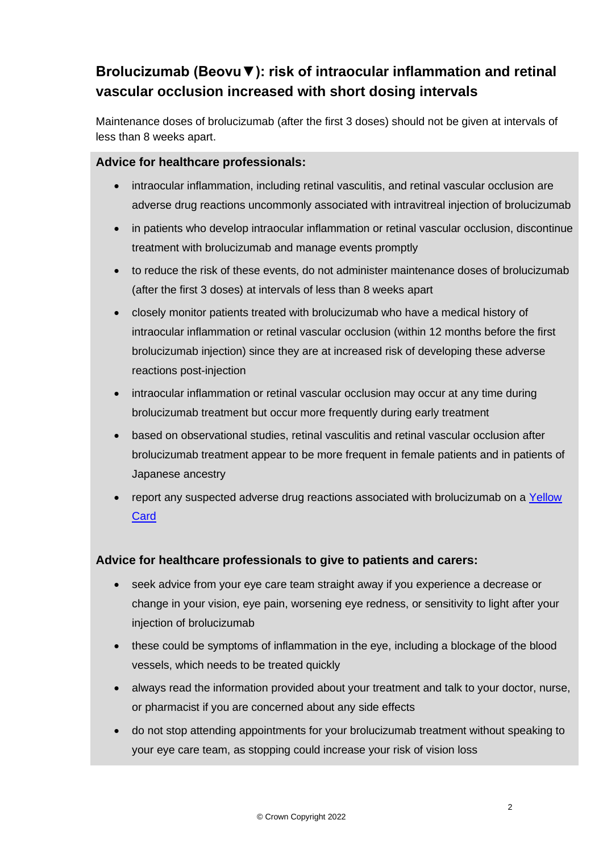# **Brolucizumab (Beovu▼): risk of intraocular inflammation and retinal vascular occlusion increased with short dosing intervals**

Maintenance doses of brolucizumab (after the first 3 doses) should not be given at intervals of less than 8 weeks apart.

## **Advice for healthcare professionals:**

- intraocular inflammation, including retinal vasculitis, and retinal vascular occlusion are adverse drug reactions uncommonly associated with intravitreal injection of brolucizumab
- in patients who develop intraocular inflammation or retinal vascular occlusion, discontinue treatment with brolucizumab and manage events promptly
- to reduce the risk of these events, do not administer maintenance doses of brolucizumab (after the first 3 doses) at intervals of less than 8 weeks apart
- closely monitor patients treated with brolucizumab who have a medical history of intraocular inflammation or retinal vascular occlusion (within 12 months before the first brolucizumab injection) since they are at increased risk of developing these adverse reactions post-injection
- intraocular inflammation or retinal vascular occlusion may occur at any time during brolucizumab treatment but occur more frequently during early treatment
- based on observational studies, retinal vasculitis and retinal vascular occlusion after brolucizumab treatment appear to be more frequent in female patients and in patients of Japanese ancestry
- report any suspected adverse drug reactions associated with brolucizumab on a Yellow **[Card](http://www.mhra.gov.uk/yellowcard)**

# **Advice for healthcare professionals to give to patients and carers:**

- seek advice from your eye care team straight away if you experience a decrease or change in your vision, eye pain, worsening eye redness, or sensitivity to light after your injection of brolucizumab
- these could be symptoms of inflammation in the eye, including a blockage of the blood vessels, which needs to be treated quickly
- always read the information provided about your treatment and talk to your doctor, nurse, or pharmacist if you are concerned about any side effects
- do not stop attending appointments for your brolucizumab treatment without speaking to your eye care team, as stopping could increase your risk of vision loss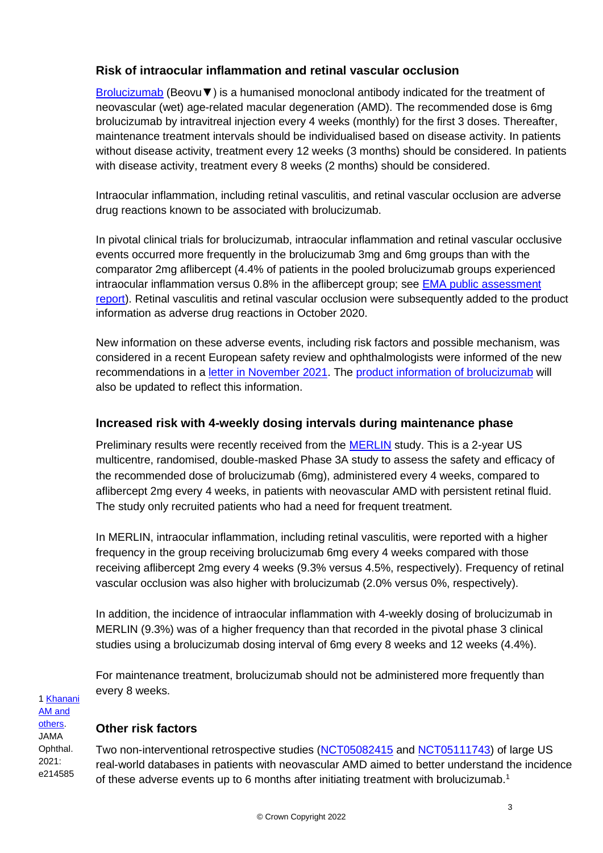## **Risk of intraocular inflammation and retinal vascular occlusion**

[Brolucizumab](https://www.medicines.org.uk/emc/product/11145/smpc) (Beovu▼) is a humanised monoclonal antibody indicated for the treatment of neovascular (wet) age-related macular degeneration (AMD). The recommended dose is 6mg brolucizumab by intravitreal injection every 4 weeks (monthly) for the first 3 doses. Thereafter, maintenance treatment intervals should be individualised based on disease activity. In patients without disease activity, treatment every 12 weeks (3 months) should be considered. In patients with disease activity, treatment every 8 weeks (2 months) should be considered.

Intraocular inflammation, including retinal vasculitis, and retinal vascular occlusion are adverse drug reactions known to be associated with brolucizumab.

In pivotal clinical trials for brolucizumab, intraocular inflammation and retinal vascular occlusive events occurred more frequently in the brolucizumab 3mg and 6mg groups than with the comparator 2mg aflibercept (4.4% of patients in the pooled brolucizumab groups experienced intraocular inflammation versus 0.8% in the aflibercept group; see [EMA public assessment](https://www.ema.europa.eu/en/documents/assessment-report/beovu-epar-public-assessment-report_en.pdf)  [report\)](https://www.ema.europa.eu/en/documents/assessment-report/beovu-epar-public-assessment-report_en.pdf). Retinal vasculitis and retinal vascular occlusion were subsequently added to the product information as adverse drug reactions in October 2020.

New information on these adverse events, including risk factors and possible mechanism, was considered in a recent European safety review and ophthalmologists were informed of the new recommendations in a [letter in November 2021.](https://assets.publishing.service.gov.uk/media/61ae2ab18fa8f503764ed510/Beovu_DHPC_3rd_Nov_2021.pdf) The [product information of brolucizumab](https://www.medicines.org.uk/emc/product/11145/smpc) will also be updated to reflect this information.

#### **Increased risk with 4-weekly dosing intervals during maintenance phase**

Preliminary results were recently received from the **MERLIN** study. This is a 2-year US multicentre, randomised, double-masked Phase 3A study to assess the safety and efficacy of the recommended dose of brolucizumab (6mg), administered every 4 weeks, compared to aflibercept 2mg every 4 weeks, in patients with neovascular AMD with persistent retinal fluid. The study only recruited patients who had a need for frequent treatment.

In MERLIN, intraocular inflammation, including retinal vasculitis, were reported with a higher frequency in the group receiving brolucizumab 6mg every 4 weeks compared with those receiving aflibercept 2mg every 4 weeks (9.3% versus 4.5%, respectively). Frequency of retinal vascular occlusion was also higher with brolucizumab (2.0% versus 0%, respectively).

In addition, the incidence of intraocular inflammation with 4-weekly dosing of brolucizumab in MERLIN (9.3%) was of a higher frequency than that recorded in the pivotal phase 3 clinical studies using a brolucizumab dosing interval of 6mg every 8 weeks and 12 weeks (4.4%).

For maintenance treatment, brolucizumab should not be administered more frequently than every 8 weeks.

[1 Khanani](https://jamanetwork.com/journals/jamaophthalmology/fullarticle/2786559)  [AM and](https://jamanetwork.com/journals/jamaophthalmology/fullarticle/2786559)  [others.](https://jamanetwork.com/journals/jamaophthalmology/fullarticle/2786559) JAMA Ophthal. 2021: e214585

## **Other risk factors**

Two non-interventional retrospective studies [\(NCT05082415](https://clinicaltrials.gov/ct2/show/NCT05082415) and [NCT05111743\)](https://clinicaltrials.gov/ct2/show/NCT05111743) of large US real-world databases in patients with neovascular AMD aimed to better understand the incidence of these adverse events up to 6 months after initiating treatment with brolucizumab.1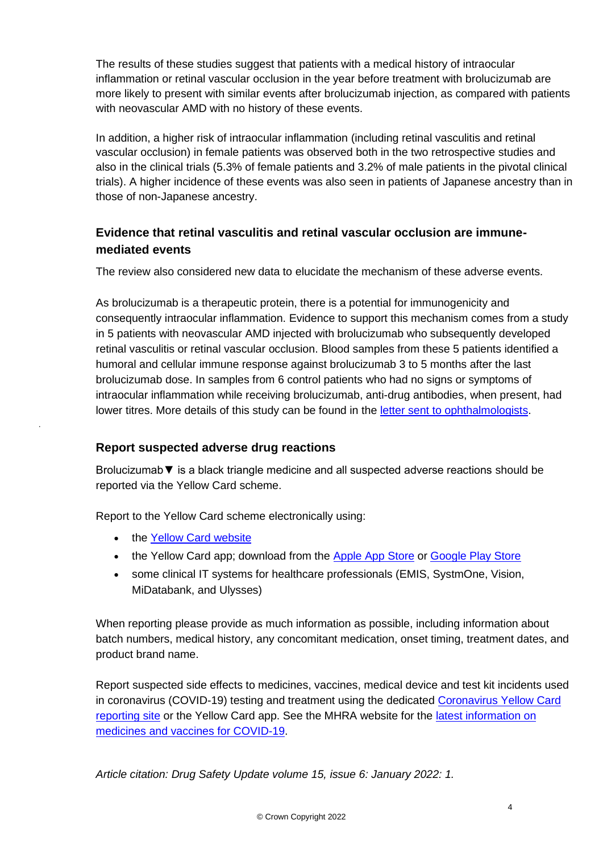The results of these studies suggest that patients with a medical history of intraocular inflammation or retinal vascular occlusion in the year before treatment with brolucizumab are more likely to present with similar events after brolucizumab injection, as compared with patients with neovascular AMD with no history of these events.

In addition, a higher risk of intraocular inflammation (including retinal vasculitis and retinal vascular occlusion) in female patients was observed both in the two retrospective studies and also in the clinical trials (5.3% of female patients and 3.2% of male patients in the pivotal clinical trials). A higher incidence of these events was also seen in patients of Japanese ancestry than in those of non-Japanese ancestry.

# **Evidence that retinal vasculitis and retinal vascular occlusion are immunemediated events**

The review also considered new data to elucidate the mechanism of these adverse events.

As brolucizumab is a therapeutic protein, there is a potential for immunogenicity and consequently intraocular inflammation. Evidence to support this mechanism comes from a study in 5 patients with neovascular AMD injected with brolucizumab who subsequently developed retinal vasculitis or retinal vascular occlusion. Blood samples from these 5 patients identified a humoral and cellular immune response against brolucizumab 3 to 5 months after the last brolucizumab dose. In samples from 6 control patients who had no signs or symptoms of intraocular inflammation while receiving brolucizumab, anti-drug antibodies, when present, had lower titres. More details of this study can be found in the [letter sent to ophthalmologists.](https://assets.publishing.service.gov.uk/media/61ae2ab18fa8f503764ed510/Beovu_DHPC_3rd_Nov_2021.pdf)

# **Report suspected adverse drug reactions**

Brolucizumab▼ is a black triangle medicine and all suspected adverse reactions should be reported via the Yellow Card scheme.

Report to the Yellow Card scheme electronically using:

• the [Yellow Card website](https://yellowcard.mhra.gov.uk/)

.

- the Yellow Card app; download from the [Apple App Store](https://itunes.apple.com/us/app/apple-store/id990237487?pt=117756671&ct=EYC&mt=8) or [Google Play Store](https://play.google.com/store/apps/details?id=uk.org.mhra.yellowcard&referrer=utm_source%3DEYC%26utm_medium%3Dcpc%26anid%3Dadmob)
- some clinical IT systems for healthcare professionals (EMIS, SystmOne, Vision, MiDatabank, and Ulysses)

When reporting please provide as much information as possible, including information about batch numbers, medical history, any concomitant medication, onset timing, treatment dates, and product brand name.

Report suspected side effects to medicines, vaccines, medical device and test kit incidents used in coronavirus (COVID-19) testing and treatment using the dedicated [Coronavirus Yellow Card](https://coronavirus-yellowcard.mhra.gov.uk/)  [reporting site](https://coronavirus-yellowcard.mhra.gov.uk/) or the Yellow Card app. See the MHRA website for the [latest information on](https://www.gov.uk/government/collections/mhra-guidance-on-coronavirus-covid-19)  [medicines and vaccines for COVID-19.](https://www.gov.uk/government/collections/mhra-guidance-on-coronavirus-covid-19)

*Article citation: Drug Safety Update volume 15, issue 6: January 2022: 1.*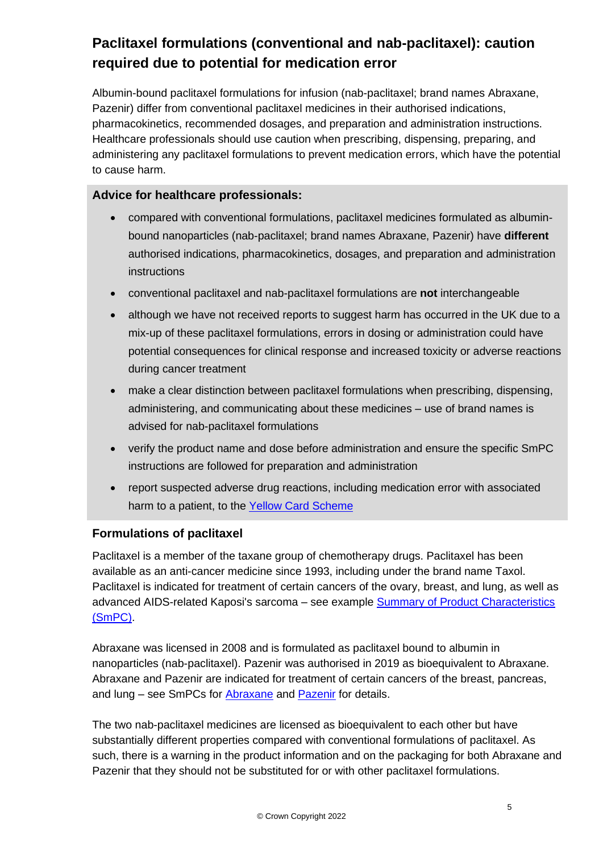# **Paclitaxel formulations (conventional and nab-paclitaxel): caution required due to potential for medication error**

Albumin-bound paclitaxel formulations for infusion (nab-paclitaxel; brand names Abraxane, Pazenir) differ from conventional paclitaxel medicines in their authorised indications, pharmacokinetics, recommended dosages, and preparation and administration instructions. Healthcare professionals should use caution when prescribing, dispensing, preparing, and administering any paclitaxel formulations to prevent medication errors, which have the potential to cause harm.

## **Advice for healthcare professionals:**

- compared with conventional formulations, paclitaxel medicines formulated as albuminbound nanoparticles (nab-paclitaxel; brand names Abraxane, Pazenir) have **different** authorised indications, pharmacokinetics, dosages, and preparation and administration instructions
- conventional paclitaxel and nab-paclitaxel formulations are **not** interchangeable
- although we have not received reports to suggest harm has occurred in the UK due to a mix-up of these paclitaxel formulations, errors in dosing or administration could have potential consequences for clinical response and increased toxicity or adverse reactions during cancer treatment
- make a clear distinction between paclitaxel formulations when prescribing, dispensing, administering, and communicating about these medicines – use of brand names is advised for nab-paclitaxel formulations
- verify the product name and dose before administration and ensure the specific SmPC instructions are followed for preparation and administration
- report suspected adverse drug reactions, including medication error with associated harm to a patient, to the [Yellow Card Scheme](https://yellowcard.mhra.gov.uk/)

#### **Formulations of paclitaxel**

Paclitaxel is a member of the taxane group of chemotherapy drugs. Paclitaxel has been available as an anti-cancer medicine since 1993, including under the brand name Taxol. Paclitaxel is indicated for treatment of certain cancers of the ovary, breast, and lung, as well as advanced AIDS-related Kaposi's sarcoma - see example **Summary of Product Characteristics** [\(SmPC\).](https://www.medicines.org.uk/emc/product/6076/smpc#INDICATIONS)

Abraxane was licensed in 2008 and is formulated as paclitaxel bound to albumin in nanoparticles (nab-paclitaxel). Pazenir was authorised in 2019 as bioequivalent to Abraxane. Abraxane and Pazenir are indicated for treatment of certain cancers of the breast, pancreas, and lung – see SmPCs for [Abraxane](https://www.medicines.org.uk/emc/product/6438/smpc) and [Pazenir](https://www.medicines.org.uk/emc/product/12063/smpc) for details.

The two nab-paclitaxel medicines are licensed as bioequivalent to each other but have substantially different properties compared with conventional formulations of paclitaxel. As such, there is a warning in the product information and on the packaging for both Abraxane and Pazenir that they should not be substituted for or with other paclitaxel formulations.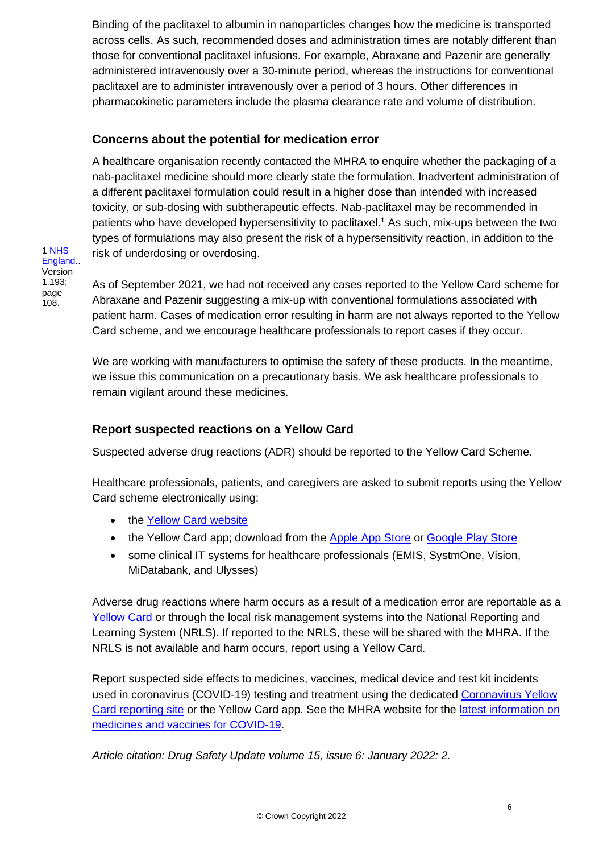Binding of the paclitaxel to albumin in nanoparticles changes how the medicine is transported across cells. As such, recommended doses and administration times are notably different than those for conventional paclitaxel infusions. For example, Abraxane and Pazenir are generally administered intravenously over a 30-minute period, whereas the instructions for conventional paclitaxel are to administer intravenously over a period of 3 hours. Other differences in pharmacokinetic parameters include the plasma clearance rate and volume of distribution.

## **Concerns about the potential for medication error**

A healthcare organisation recently contacted the MHRA to enquire whether the packaging of a nab-paclitaxel medicine should more clearly state the formulation. Inadvertent administration of a different paclitaxel formulation could result in a higher dose than intended with increased toxicity, or sub-dosing with subtherapeutic effects. Nab-paclitaxel may be recommended in patients who have developed hypersensitivity to paclitaxel.<sup>1</sup> As such, mix-ups between the two types of formulations may also present the risk of a hypersensitivity reaction, in addition to the risk of underdosing or overdosing.

As of September 2021, we had not received any cases reported to the Yellow Card scheme for Abraxane and Pazenir suggesting a mix-up with conventional formulations associated with patient harm. Cases of medication error resulting in harm are not always reported to the Yellow Card scheme, and we encourage healthcare professionals to report cases if they occur.

We are working with manufacturers to optimise the safety of these products. In the meantime, we issue this communication on a precautionary basis. We ask healthcare professionals to remain vigilant around these medicines.

# **Report suspected reactions on a Yellow Card**

Suspected adverse drug reactions (ADR) should be reported to the Yellow Card Scheme.

Healthcare professionals, patients, and caregivers are asked to submit reports using the Yellow Card scheme electronically using:

- the [Yellow Card website](https://yellowcard.mhra.gov.uk/)
- the Yellow Card app; download from the [Apple App Store](https://itunes.apple.com/us/app/apple-store/id990237487?pt=117756671&ct=EYC&mt=8) or [Google Play Store](https://play.google.com/store/apps/details?id=uk.org.mhra.yellowcard&referrer=utm_source%3DEYC%26utm_medium%3Dcpc%26anid%3Dadmob)
- some clinical IT systems for healthcare professionals (EMIS, SystmOne, Vision, MiDatabank, and Ulysses)

Adverse drug reactions where harm occurs as a result of a medication error are reportable as a [Yellow Card](https://yellowcard.mhra.gov.uk/) or through the local risk management systems into the National Reporting and Learning System (NRLS). If reported to the NRLS, these will be shared with the MHRA. If the NRLS is not available and harm occurs, report using a Yellow Card.

Report suspected side effects to medicines, vaccines, medical device and test kit incidents used in coronavirus (COVID-19) testing and treatment using the dedicated [Coronavirus Yellow](https://coronavirus-yellowcard.mhra.gov.uk/)  [Card reporting site](https://coronavirus-yellowcard.mhra.gov.uk/) or the Yellow Card app. See the MHRA website for the [latest information on](https://www.gov.uk/government/collections/mhra-guidance-on-coronavirus-covid-19)  [medicines and vaccines for COVID-19.](https://www.gov.uk/government/collections/mhra-guidance-on-coronavirus-covid-19)

*Article citation: Drug Safety Update volume 15, issue 6: January 2022: 2.*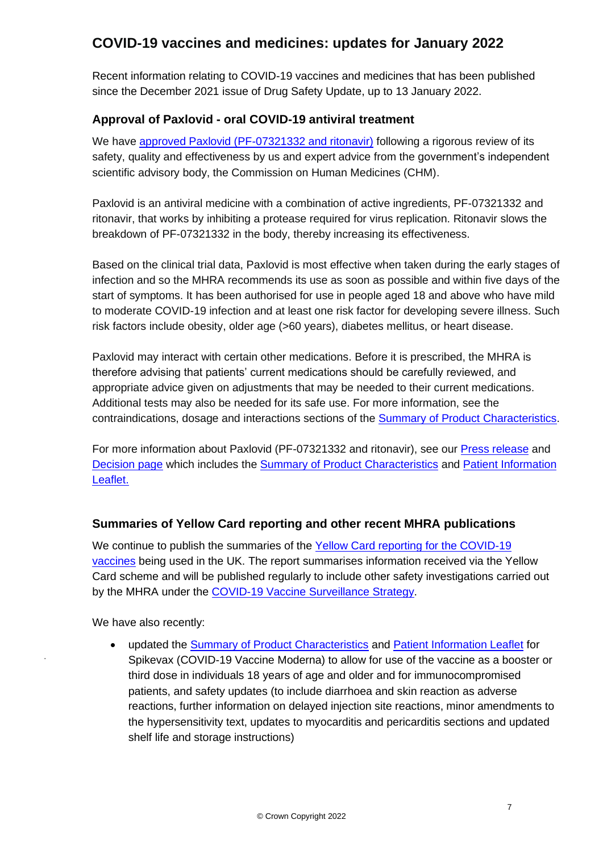# **COVID-19 vaccines and medicines: updates for January 2022**

Recent information relating to COVID-19 vaccines and medicines that has been published since the December 2021 issue of Drug Safety Update, up to 13 January 2022.

# **Approval of Paxlovid - oral COVID-19 antiviral treatment**

We have [approved Paxlovid \(PF-07321332 and ritonavir\)](https://www.gov.uk/government/news/oral-covid-19-antiviral-paxlovid-approved-by-uk-regulator) following a rigorous review of its safety, quality and effectiveness by us and expert advice from the government's independent scientific advisory body, the Commission on Human Medicines (CHM).

Paxlovid is an antiviral medicine with a combination of active ingredients, PF-07321332 and ritonavir, that works by inhibiting a protease required for virus replication. Ritonavir slows the breakdown of PF-07321332 in the body, thereby increasing its effectiveness.

Based on the clinical trial data, Paxlovid is most effective when taken during the early stages of infection and so the MHRA recommends its use as soon as possible and within five days of the start of symptoms. It has been authorised for use in people aged 18 and above who have mild to moderate COVID-19 infection and at least one risk factor for developing severe illness. Such risk factors include obesity, older age (>60 years), diabetes mellitus, or heart disease.

Paxlovid may interact with certain other medications. Before it is prescribed, the MHRA is therefore advising that patients' current medications should be carefully reviewed, and appropriate advice given on adjustments that may be needed to their current medications. Additional tests may also be needed for its safe use. For more information, see the contraindications, dosage and interactions sections of the [Summary of Product Characteristics.](https://www.gov.uk/government/publications/regulatory-approval-of-paxlovid/summary-of-product-characteristics-for-paxlovid)

For more information about Paxlovid (PF-07321332 and ritonavir), see our [Press release](https://www.gov.uk/government/news/oral-covid-19-antiviral-paxlovid-approved-by-uk-regulator) and [Decision page](https://www.gov.uk/government/publications/regulatory-approval-of-paxlovid) which includes the [Summary of Product Characteristics](https://www.gov.uk/government/publications/regulatory-approval-of-paxlovid/summary-of-product-characteristics-for-paxlovid) and [Patient Information](https://www.gov.uk/government/publications/regulatory-approval-of-paxlovid/patient-information-leaflet-for-paxlovid)  [Leaflet.](https://www.gov.uk/government/publications/regulatory-approval-of-paxlovid/patient-information-leaflet-for-paxlovid)

# **Summaries of Yellow Card reporting and other recent MHRA publications**

We continue to publish the summaries of the Yellow Card reporting for the COVID-19 [vaccines](https://www.gov.uk/government/publications/coronavirus-covid-19-vaccine-adverse-reactions/coronavirus-vaccine-summary-of-yellow-card-reporting) being used in the UK. The report summarises information received via the Yellow Card scheme and will be published regularly to include other safety investigations carried out by the MHRA under the [COVID-19 Vaccine Surveillance Strategy.](https://www.gov.uk/government/publications/report-of-the-commission-on-human-medicines-expert-working-group-on-covid-19-vaccine-safety-surveillance)

We have also recently:

.

• updated the [Summary of Product Characteristics](https://www.gov.uk/government/publications/regulatory-approval-of-covid-19-vaccine-moderna/information-for-healthcare-professionals-on-covid-19-vaccine-moderna) and [Patient Information Leaflet](https://www.gov.uk/government/publications/regulatory-approval-of-covid-19-vaccine-moderna/information-for-uk-recipients-on-covid-19-vaccine-moderna) for Spikevax (COVID-19 Vaccine Moderna) to allow for use of the vaccine as a booster or third dose in individuals 18 years of age and older and for immunocompromised patients, and safety updates (to include diarrhoea and skin reaction as adverse reactions, further information on delayed injection site reactions, minor amendments to the hypersensitivity text, updates to myocarditis and pericarditis sections and updated shelf life and storage instructions)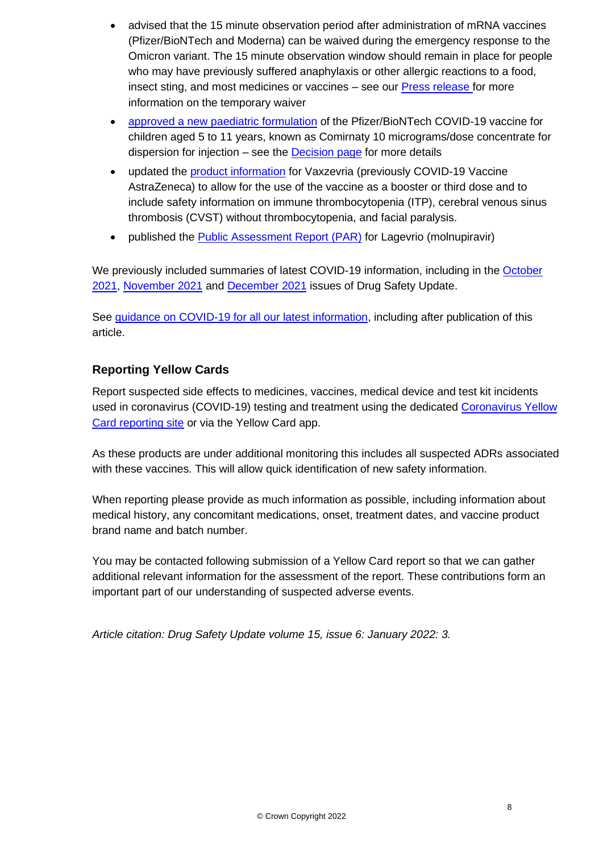- advised that the 15 minute observation period after administration of mRNA vaccines (Pfizer/BioNTech and Moderna) can be waived during the emergency response to the Omicron variant. The 15 minute observation window should remain in place for people who may have previously suffered anaphylaxis or other allergic reactions to a food, insect sting, and most medicines or vaccines – see our [Press release](https://www.gov.uk/government/news/temporary-waiver-of-15-minute-observation-period-after-covid-19-mrna-vaccines) for more information on the temporary waiver
- [approved a new paediatric formulation](https://www.gov.uk/government/news/uk-regulator-approves-use-of-pfizerbiontech-vaccine-in-5-to-11-year-olds) of the Pfizer/BioNTech COVID-19 vaccine for children aged 5 to 11 years, known as Comirnaty 10 micrograms/dose concentrate for dispersion for injection – see the [Decision page](https://www.gov.uk/government/publications/regulatory-approval-of-pfizer-biontech-vaccine-for-covid-19) for more details
- updated the [product information](https://www.gov.uk/government/publications/regulatory-approval-of-covid-19-vaccine-astrazeneca) for Vaxzevria (previously COVID-19 Vaccine AstraZeneca) to allow for the use of the vaccine as a booster or third dose and to include safety information on immune thrombocytopenia (ITP), cerebral venous sinus thrombosis (CVST) without thrombocytopenia, and facial paralysis.
- published the [Public Assessment Report \(PAR\)](https://www.gov.uk/government/publications/regulatory-approval-of-lagevrio-molnupiravir) for Lagevrio (molnupiravir)

We previously included summaries of latest COVID-19 information, including in the October [2021,](https://www.gov.uk/drug-safety-update/covid-19-vaccines-updates-for-october-2021) [November 2021](https://www.gov.uk/drug-safety-update/covid-19-vaccines-and-medicines-updates-for-november-2021) and [December 2021](https://www.gov.uk/drug-safety-update/covid-19-vaccines-and-medicines-updates-for-december-2021) issues of Drug Safety Update.

See quidance on COVID-19 for all our latest information, including after publication of this article.

# **Reporting Yellow Cards**

Report suspected side effects to medicines, vaccines, medical device and test kit incidents used in coronavirus (COVID-19) testing and treatment using the dedicated [Coronavirus Yellow](https://coronavirus-yellowcard.mhra.gov.uk/)  [Card reporting site](https://coronavirus-yellowcard.mhra.gov.uk/) or via the Yellow Card app.

As these products are under additional monitoring this includes all suspected ADRs associated with these vaccines. This will allow quick identification of new safety information.

When reporting please provide as much information as possible, including information about medical history, any concomitant medications, onset, treatment dates, and vaccine product brand name and batch number.

You may be contacted following submission of a Yellow Card report so that we can gather additional relevant information for the assessment of the report. These contributions form an important part of our understanding of suspected adverse events.

*Article citation: Drug Safety Update volume 15, issue 6: January 2022: 3.*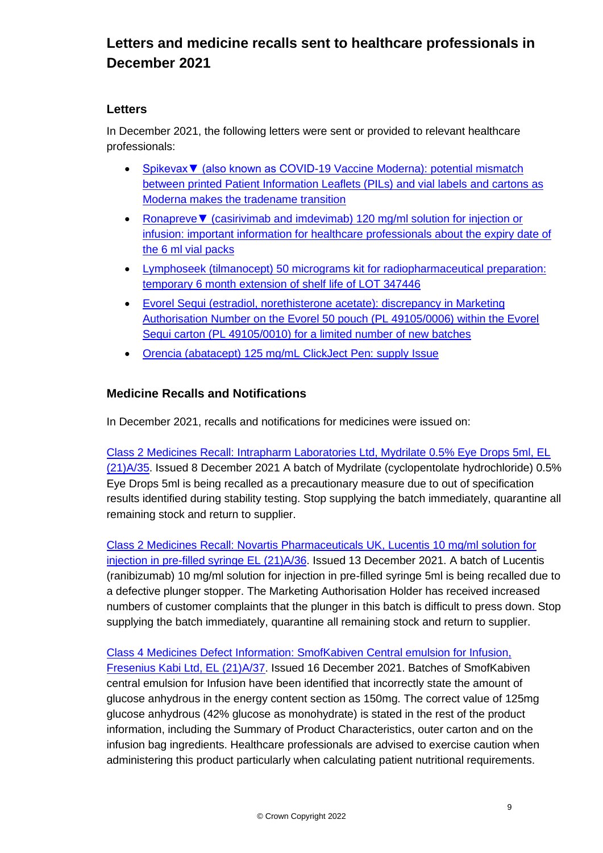# **Letters and medicine recalls sent to healthcare professionals in December 2021**

## **Letters**

In December 2021, the following letters were sent or provided to relevant healthcare professionals:

- [Spikevax▼ \(also known as COVID-19 Vaccine Moderna\): potential mismatch](https://assets.publishing.service.gov.uk/media/61e55ddad3bf7f054798bc85/02_Nov_21_Spikevax_UK_DHPC.pdf)  [between printed Patient Information Leaflets \(PILs\) and vial labels and cartons as](https://assets.publishing.service.gov.uk/media/61e55ddad3bf7f054798bc85/02_Nov_21_Spikevax_UK_DHPC.pdf)  [Moderna makes the tradename transition](https://assets.publishing.service.gov.uk/media/61e55ddad3bf7f054798bc85/02_Nov_21_Spikevax_UK_DHPC.pdf)
- Ronapreve▼ [\(casirivimab and imdevimab\) 120 mg/ml solution for injection or](https://assets.publishing.service.gov.uk/media/61e547c2e90e0703731d3aa8/3_Dec_21_Ronapreve_6ml_DHPC.pdf)  [infusion: important information for healthcare professionals about the expiry date of](https://assets.publishing.service.gov.uk/media/61e547c2e90e0703731d3aa8/3_Dec_21_Ronapreve_6ml_DHPC.pdf)  [the 6 ml vial packs](https://assets.publishing.service.gov.uk/media/61e547c2e90e0703731d3aa8/3_Dec_21_Ronapreve_6ml_DHPC.pdf)
- Lymphoseek (tilmanocept) 50 [micrograms kit for radiopharmaceutical preparation:](https://assets.publishing.service.gov.uk/media/61e547d1d3bf7f0546a99cc3/15_Dec_21_Lymphoseek_Oct_2021-NAVIDEA.pdf)  [temporary 6 month extension of shelf life of LOT 347446](https://assets.publishing.service.gov.uk/media/61e547d1d3bf7f0546a99cc3/15_Dec_21_Lymphoseek_Oct_2021-NAVIDEA.pdf)
- [Evorel Sequi \(estradiol, norethisterone acetate\): discrepancy in Marketing](https://assets.publishing.service.gov.uk/media/61e547e18fa8f50596013432/21_Dec_21_Evorel_Sequi_DHPC_Letter.pdf)  [Authorisation Number on the Evorel 50 pouch \(PL 49105/0006\) within the Evorel](https://assets.publishing.service.gov.uk/media/61e547e18fa8f50596013432/21_Dec_21_Evorel_Sequi_DHPC_Letter.pdf)  [Sequi carton \(PL 49105/0010\) for a limited number of new batches](https://assets.publishing.service.gov.uk/media/61e547e18fa8f50596013432/21_Dec_21_Evorel_Sequi_DHPC_Letter.pdf)
- [Orencia \(abatacept\) 125 mg/mL ClickJect Pen: supply Issue](https://assets.publishing.service.gov.uk/media/61e547efe90e0703816577c7/17_Dec_21_Orencia_ClickJect_Switch_DHPC_Letter.pdf)

# **Medicine Recalls and Notifications**

In December 2021, recalls and notifications for medicines were issued on:

[Class 2 Medicines Recall: Intrapharm Laboratories Ltd, Mydrilate 0.5% Eye Drops 5ml, EL](https://www.gov.uk/drug-device-alerts/class-2-medicines-recall-intrapharm-laboratories-ltd-mydrilate-0-dot-5-percent-eye-drops-5ml-el-21-a-slash-35)  [\(21\)A/35.](https://www.gov.uk/drug-device-alerts/class-2-medicines-recall-intrapharm-laboratories-ltd-mydrilate-0-dot-5-percent-eye-drops-5ml-el-21-a-slash-35) Issued 8 December 2021 A batch of Mydrilate (cyclopentolate hydrochloride) 0.5% Eye Drops 5ml is being recalled as a precautionary measure due to out of specification results identified during stability testing. Stop supplying the batch immediately, quarantine all remaining stock and return to supplier.

[Class 2 Medicines Recall: Novartis Pharmaceuticals UK, Lucentis 10 mg/ml solution for](https://www.gov.uk/drug-device-alerts/class-2-medicines-recall-novartis-pharmaceuticals-uk-lucentis-10-mg-slash-ml-solution-for-injection-in-pre-filled-syringe-el-21-a-slash-36)  [injection in pre-filled syringe EL \(21\)A/36.](https://www.gov.uk/drug-device-alerts/class-2-medicines-recall-novartis-pharmaceuticals-uk-lucentis-10-mg-slash-ml-solution-for-injection-in-pre-filled-syringe-el-21-a-slash-36) Issued 13 December 2021. A batch of Lucentis (ranibizumab) 10 mg/ml solution for injection in pre-filled syringe 5ml is being recalled due to a defective plunger stopper. The Marketing Authorisation Holder has received increased numbers of customer complaints that the plunger in this batch is difficult to press down. Stop supplying the batch immediately, quarantine all remaining stock and return to supplier.

[Class 4 Medicines Defect Information: SmofKabiven Central emulsion for Infusion,](https://www.gov.uk/drug-device-alerts/class-4-medicines-defect-information-smofkabiven-central-emulsion-for-infusion-fresenius-kabi-ltd-el-21-a-slash-37)  [Fresenius Kabi Ltd, EL \(21\)A/37.](https://www.gov.uk/drug-device-alerts/class-4-medicines-defect-information-smofkabiven-central-emulsion-for-infusion-fresenius-kabi-ltd-el-21-a-slash-37) Issued 16 December 2021. Batches of SmofKabiven central emulsion for Infusion have been identified that incorrectly state the amount of glucose anhydrous in the energy content section as 150mg. The correct value of 125mg glucose anhydrous (42% glucose as monohydrate) is stated in the rest of the product information, including the Summary of Product Characteristics, outer carton and on the infusion bag ingredients. Healthcare professionals are advised to exercise caution when administering this product particularly when calculating patient nutritional requirements.